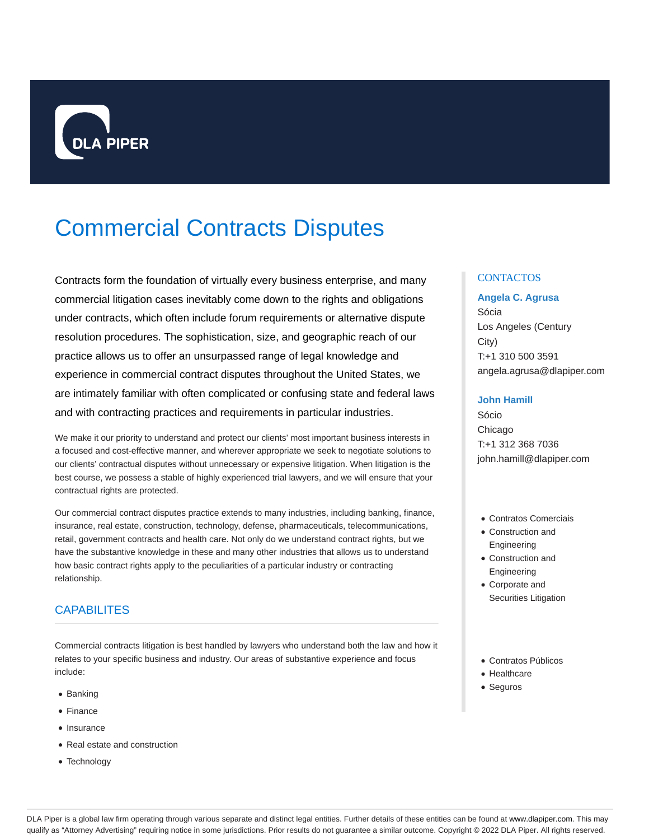

# Commercial Contracts Disputes

Contracts form the foundation of virtually every business enterprise, and many commercial litigation cases inevitably come down to the rights and obligations under contracts, which often include forum requirements or alternative dispute resolution procedures. The sophistication, size, and geographic reach of our practice allows us to offer an unsurpassed range of legal knowledge and experience in commercial contract disputes throughout the United States, we are intimately familiar with often complicated or confusing state and federal laws and with contracting practices and requirements in particular industries.

We make it our priority to understand and protect our clients' most important business interests in a focused and cost-effective manner, and wherever appropriate we seek to negotiate solutions to our clients' contractual disputes without unnecessary or expensive litigation. When litigation is the best course, we possess a stable of highly experienced trial lawyers, and we will ensure that your contractual rights are protected.

Our commercial contract disputes practice extends to many industries, including banking, finance, insurance, real estate, construction, technology, defense, pharmaceuticals, telecommunications, retail, government contracts and health care. Not only do we understand contract rights, but we have the substantive knowledge in these and many other industries that allows us to understand how basic contract rights apply to the peculiarities of a particular industry or contracting relationship.

# CAPABILITES

Commercial contracts litigation is best handled by lawyers who understand both the law and how it relates to your specific business and industry. Our areas of substantive experience and focus include:

- Banking
- Finance
- Insurance
- Real estate and construction
- Technology

### **CONTACTOS**

#### **Angela C. Agrusa**

Sócia Los Angeles (Century City) T:+1 310 500 3591 angela.agrusa@dlapiper.com

#### **John Hamill**

Sócio Chicago T:+1 312 368 7036 john.hamill@dlapiper.com

- Contratos Comerciais
- Construction and Engineering
- Construction and Engineering
- Corporate and Securities Litigation
- Contratos Públicos
- Healthcare
- Seguros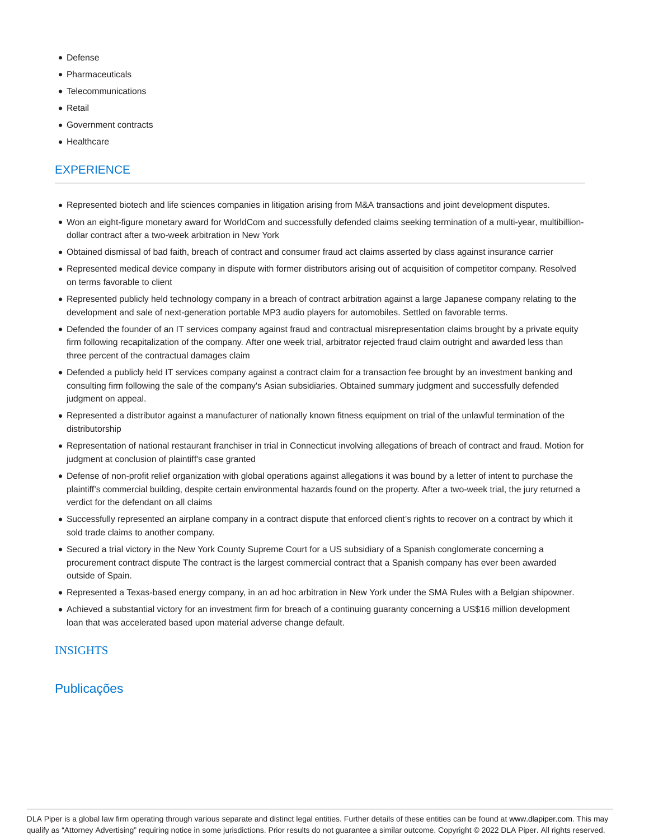- Defense
- Pharmaceuticals
- Telecommunications
- Retail
- Government contracts
- **Healthcare**

## **EXPERIENCE**

- Represented biotech and life sciences companies in litigation arising from M&A transactions and joint development disputes.
- Won an eight-figure monetary award for WorldCom and successfully defended claims seeking termination of a multi-year, multibilliondollar contract after a two-week arbitration in New York
- Obtained dismissal of bad faith, breach of contract and consumer fraud act claims asserted by class against insurance carrier
- Represented medical device company in dispute with former distributors arising out of acquisition of competitor company. Resolved on terms favorable to client
- Represented publicly held technology company in a breach of contract arbitration against a large Japanese company relating to the development and sale of next-generation portable MP3 audio players for automobiles. Settled on favorable terms.
- Defended the founder of an IT services company against fraud and contractual misrepresentation claims brought by a private equity firm following recapitalization of the company. After one week trial, arbitrator rejected fraud claim outright and awarded less than three percent of the contractual damages claim
- Defended a publicly held IT services company against a contract claim for a transaction fee brought by an investment banking and consulting firm following the sale of the company's Asian subsidiaries. Obtained summary judgment and successfully defended judgment on appeal.
- Represented a distributor against a manufacturer of nationally known fitness equipment on trial of the unlawful termination of the distributorship
- Representation of national restaurant franchiser in trial in Connecticut involving allegations of breach of contract and fraud. Motion for judgment at conclusion of plaintiff's case granted
- Defense of non-profit relief organization with global operations against allegations it was bound by a letter of intent to purchase the plaintiff's commercial building, despite certain environmental hazards found on the property. After a two-week trial, the jury returned a verdict for the defendant on all claims
- Successfully represented an airplane company in a contract dispute that enforced client's rights to recover on a contract by which it sold trade claims to another company.
- Secured a trial victory in the New York County Supreme Court for a US subsidiary of a Spanish conglomerate concerning a procurement contract dispute The contract is the largest commercial contract that a Spanish company has ever been awarded outside of Spain.
- Represented a Texas-based energy company, in an ad hoc arbitration in New York under the SMA Rules with a Belgian shipowner.
- Achieved a substantial victory for an investment firm for breach of a continuing guaranty concerning a US\$16 million development loan that was accelerated based upon material adverse change default.

#### **INSIGHTS**

## Publicações